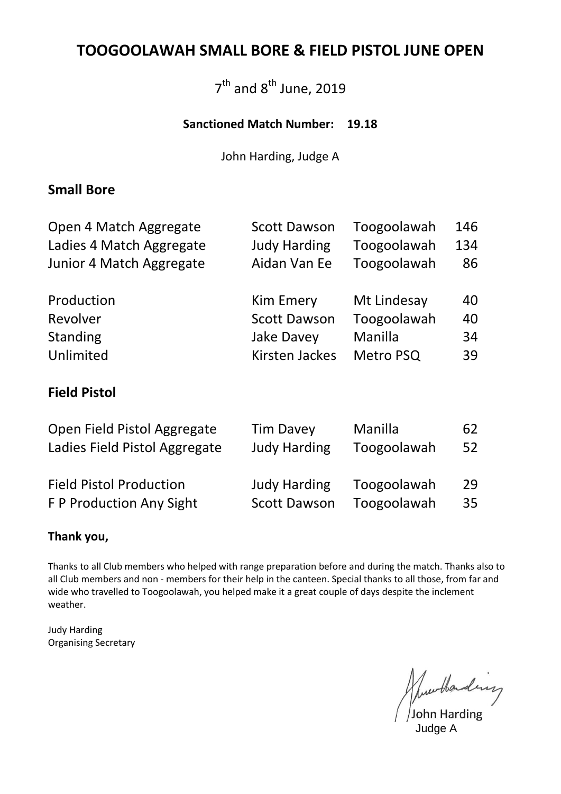#### **TOOGOOLAWAH SMALL BORE & FIELD PISTOL JUNE OPEN**

### 7<sup>th</sup> and 8<sup>th</sup> June, 2019

#### **Sanctioned Match Number: 19.18**

John Harding, Judge A

#### **Small Bore**

| Open 4 Match Aggregate   | <b>Scott Dawson</b>   | Toogoolawah | 146 |
|--------------------------|-----------------------|-------------|-----|
| Ladies 4 Match Aggregate | <b>Judy Harding</b>   | Toogoolawah | 134 |
| Junior 4 Match Aggregate | Aidan Van Ee          | Toogoolawah | 86  |
| Production               | <b>Kim Emery</b>      | Mt Lindesay | 40  |
| Revolver                 | <b>Scott Dawson</b>   | Toogoolawah | 40  |
| Standing                 | <b>Jake Davey</b>     | Manilla     | 34  |
| Unlimited                | <b>Kirsten Jackes</b> | Metro PSQ   | 39  |

#### **Field Pistol**

| Open Field Pistol Aggregate    | <b>Tim Davey</b>    | Manilla     | 62 |
|--------------------------------|---------------------|-------------|----|
| Ladies Field Pistol Aggregate  | <b>Judy Harding</b> | Toogoolawah | 52 |
|                                |                     |             |    |
| <b>Field Pistol Production</b> | <b>Judy Harding</b> | Toogoolawah | 29 |
| F P Production Any Sight       | <b>Scott Dawson</b> | Toogoolawah | 35 |

#### **Thank you,**

Thanks to all Club members who helped with range preparation before and during the match. Thanks also to all Club members and non - members for their help in the canteen. Special thanks to all those, from far and wide who travelled to Toogoolawah, you helped make it a great couple of days despite the inclement weather.

Judy Harding Organising Secretary

June thanking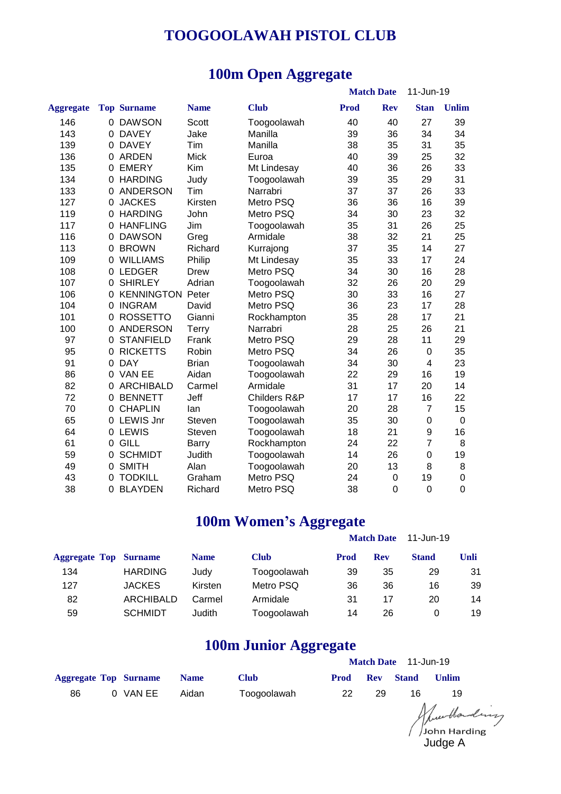#### **TOOGOOLAWAH PISTOL CLUB**

### **100m Open Aggregate**

|                  |          |                    |               |              |      | <b>Match Date</b> | 11-Jun-19        |                  |
|------------------|----------|--------------------|---------------|--------------|------|-------------------|------------------|------------------|
| <b>Aggregate</b> |          | <b>Top Surname</b> | <b>Name</b>   | <b>Club</b>  | Prod | <b>Rev</b>        | <b>Stan</b>      | <b>Unlim</b>     |
| 146              | $\Omega$ | <b>DAWSON</b>      | Scott         | Toogoolawah  | 40   | 40                | 27               | 39               |
| 143              | $\Omega$ | <b>DAVEY</b>       | Jake          | Manilla      | 39   | 36                | 34               | 34               |
| 139              | $\Omega$ | <b>DAVEY</b>       | Tim           | Manilla      | 38   | 35                | 31               | 35               |
| 136              | 0        | <b>ARDEN</b>       | <b>Mick</b>   | Euroa        | 40   | 39                | 25               | 32               |
| 135              | 0        | <b>EMERY</b>       | Kim           | Mt Lindesay  | 40   | 36                | 26               | 33               |
| 134              | 0        | <b>HARDING</b>     | Judy          | Toogoolawah  | 39   | 35                | 29               | 31               |
| 133              | 0        | <b>ANDERSON</b>    | Tim           | Narrabri     | 37   | 37                | 26               | 33               |
| 127              | 0        | <b>JACKES</b>      | Kirsten       | Metro PSQ    | 36   | 36                | 16               | 39               |
| 119              | 0        | <b>HARDING</b>     | John          | Metro PSQ    | 34   | 30                | 23               | 32               |
| 117              | $\Omega$ | <b>HANFLING</b>    | Jim           | Toogoolawah  | 35   | 31                | 26               | 25               |
| 116              | $\Omega$ | <b>DAWSON</b>      | Greg          | Armidale     | 38   | 32                | 21               | 25               |
| 113              | $\Omega$ | <b>BROWN</b>       | Richard       | Kurrajong    | 37   | 35                | 14               | 27               |
| 109              | 0        | <b>WILLIAMS</b>    | Philip        | Mt Lindesay  | 35   | 33                | 17               | 24               |
| 108              | 0        | <b>LEDGER</b>      | <b>Drew</b>   | Metro PSQ    | 34   | 30                | 16               | 28               |
| 107              | 0        | <b>SHIRLEY</b>     | Adrian        | Toogoolawah  | 32   | 26                | 20               | 29               |
| 106              | 0        | <b>KENNINGTON</b>  | Peter         | Metro PSQ    | 30   | 33                | 16               | 27               |
| 104              | 0        | <b>INGRAM</b>      | David         | Metro PSQ    | 36   | 23                | 17               | 28               |
| 101              | 0        | <b>ROSSETTO</b>    | Gianni        | Rockhampton  | 35   | 28                | 17               | 21               |
| 100              | 0        | <b>ANDERSON</b>    | Terry         | Narrabri     | 28   | 25                | 26               | 21               |
| 97               | 0        | <b>STANFIELD</b>   | Frank         | Metro PSQ    | 29   | 28                | 11               | 29               |
| 95               | 0        | <b>RICKETTS</b>    | Robin         | Metro PSQ    | 34   | 26                | $\mathbf 0$      | 35               |
| 91               | $\Omega$ | <b>DAY</b>         | <b>Brian</b>  | Toogoolawah  | 34   | 30                | $\overline{4}$   | 23               |
| 86               |          | 0 VAN EE           | Aidan         | Toogoolawah  | 22   | 29                | 16               | 19               |
| 82               |          | 0 ARCHIBALD        | Carmel        | Armidale     | 31   | 17                | 20               | 14               |
| 72               | 0        | <b>BENNETT</b>     | Jeff          | Childers R&P | 17   | 17                | 16               | 22               |
| 70               | 0        | <b>CHAPLIN</b>     | lan           | Toogoolawah  | 20   | 28                | $\overline{7}$   | 15               |
| 65               | 0        | <b>LEWIS Jnr</b>   | <b>Steven</b> | Toogoolawah  | 35   | 30                | $\pmb{0}$        | $\boldsymbol{0}$ |
| 64               |          | 0 LEWIS            | Steven        | Toogoolawah  | 18   | 21                | 9                | 16               |
| 61               | $\Omega$ | <b>GILL</b>        | Barry         | Rockhampton  | 24   | 22                | $\overline{7}$   | 8                |
| 59               | $\Omega$ | <b>SCHMIDT</b>     | Judith        | Toogoolawah  | 14   | 26                | $\boldsymbol{0}$ | 19               |
| 49               | 0        | <b>SMITH</b>       | Alan          | Toogoolawah  | 20   | 13                | 8                | 8                |
| 43               | 0        | <b>TODKILL</b>     | Graham        | Metro PSQ    | 24   | 0                 | 19               | $\mathbf 0$      |
| 38               | $\Omega$ | <b>BLAYDEN</b>     | Richard       | Metro PSQ    | 38   | $\overline{0}$    | $\overline{0}$   | $\mathbf 0$      |

#### **100m Women's Aggregate**

|                              |                  |             |             |             | <b>Match Date</b> | 11-Jun-19    |      |
|------------------------------|------------------|-------------|-------------|-------------|-------------------|--------------|------|
| <b>Aggregate Top Surname</b> |                  | <b>Name</b> | <b>Club</b> | <b>Prod</b> | <b>Rev</b>        | <b>Stand</b> | Unli |
| 134                          | <b>HARDING</b>   | Judy        | Toogoolawah | 39          | 35                | 29           | 31   |
| 127                          | <b>JACKES</b>    | Kirsten     | Metro PSQ   | 36          | 36                | 16           | 39   |
| 82                           | <b>ARCHIBALD</b> | Carmel      | Armidale    | 31          | 17                | 20           | 14   |
| 59                           | <b>SCHMIDT</b>   | Judith      | Toogoolawah | 14          | 26                |              | 19   |

#### **100m Junior Aggregate**

|                              |          |             |             | Match Date 11-Jun-19 |    |                  |       |
|------------------------------|----------|-------------|-------------|----------------------|----|------------------|-------|
| <b>Aggregate Top Surname</b> |          | <b>Name</b> | <b>Club</b> | Prod                 |    | <b>Rev</b> Stand | Unlim |
| 86                           | 0 VAN EE | Aidan       | Toogoolawah | 22                   | 29 | 16.              | 19    |

Judge A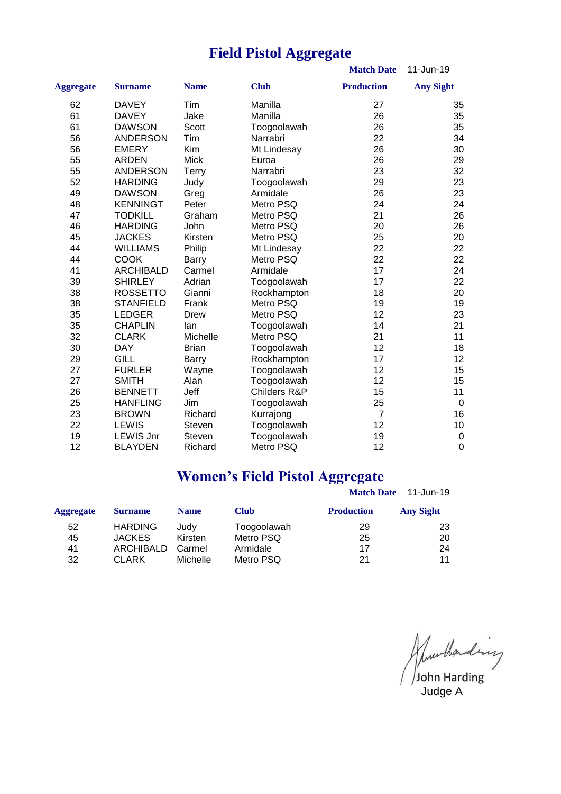### **Field Pistol Aggregate**

**Match Date** 11-Jun-19

|                  |                  |              |              | wiaith <i>D</i> ale | 11-JUIL-1 <i>3</i> |
|------------------|------------------|--------------|--------------|---------------------|--------------------|
| <b>Aggregate</b> | <b>Surname</b>   | <b>Name</b>  | <b>Club</b>  | <b>Production</b>   | <b>Any Sight</b>   |
| 62               | <b>DAVEY</b>     | Tim          | Manilla      | 27                  | 35                 |
| 61               | <b>DAVEY</b>     | Jake         | Manilla      | 26                  | 35                 |
| 61               | <b>DAWSON</b>    | <b>Scott</b> | Toogoolawah  | 26                  | 35                 |
| 56               | <b>ANDERSON</b>  | Tim          | Narrabri     | 22                  | 34                 |
| 56               | <b>EMERY</b>     | Kim          | Mt Lindesay  | 26                  | 30                 |
| 55               | <b>ARDEN</b>     | <b>Mick</b>  | Euroa        | 26                  | 29                 |
| 55               | <b>ANDERSON</b>  | <b>Terry</b> | Narrabri     | 23                  | 32                 |
| 52               | <b>HARDING</b>   | Judy         | Toogoolawah  | 29                  | 23                 |
| 49               | <b>DAWSON</b>    | Greg         | Armidale     | 26                  | 23                 |
| 48               | <b>KENNINGT</b>  | Peter        | Metro PSQ    | 24                  | 24                 |
| 47               | <b>TODKILL</b>   | Graham       | Metro PSQ    | 21                  | 26                 |
| 46               | <b>HARDING</b>   | John         | Metro PSQ    | 20                  | 26                 |
| 45               | <b>JACKES</b>    | Kirsten      | Metro PSQ    | 25                  | 20                 |
| 44               | <b>WILLIAMS</b>  | Philip       | Mt Lindesay  | 22                  | 22                 |
| 44               | <b>COOK</b>      | <b>Barry</b> | Metro PSQ    | 22                  | 22                 |
| 41               | <b>ARCHIBALD</b> | Carmel       | Armidale     | 17                  | 24                 |
| 39               | <b>SHIRLEY</b>   | Adrian       | Toogoolawah  | 17                  | 22                 |
| 38               | <b>ROSSETTO</b>  | Gianni       | Rockhampton  | 18                  | 20                 |
| 38               | <b>STANFIELD</b> | Frank        | Metro PSQ    | 19                  | 19                 |
| 35               | <b>LEDGER</b>    | Drew         | Metro PSQ    | 12 <sup>2</sup>     | 23                 |
| 35               | <b>CHAPLIN</b>   | lan          | Toogoolawah  | 14                  | 21                 |
| 32               | <b>CLARK</b>     | Michelle     | Metro PSQ    | 21                  | 11                 |
| 30               | <b>DAY</b>       | <b>Brian</b> | Toogoolawah  | 12                  | 18                 |
| 29               | <b>GILL</b>      | <b>Barry</b> | Rockhampton  | 17                  | 12                 |
| 27               | <b>FURLER</b>    | Wayne        | Toogoolawah  | 12                  | 15                 |
| 27               | <b>SMITH</b>     | Alan         | Toogoolawah  | 12                  | 15                 |
| 26               | <b>BENNETT</b>   | Jeff         | Childers R&P | 15                  | 11                 |
| 25               | <b>HANFLING</b>  | Jim          | Toogoolawah  | 25                  | $\mathbf 0$        |
| 23               | <b>BROWN</b>     | Richard      | Kurrajong    | $\overline{7}$      | 16                 |
| 22               | <b>LEWIS</b>     | Steven       | Toogoolawah  | 12                  | 10                 |
| 19               | <b>LEWIS Jnr</b> | Steven       | Toogoolawah  | 19                  | $\pmb{0}$          |
| 12               | <b>BLAYDEN</b>   | Richard      | Metro PSQ    | 12                  | $\mathbf 0$        |

### **Women's Field Pistol Aggregate**

|                  |                  |             |             | <b>Match Date</b> | 11-Jun-19        |
|------------------|------------------|-------------|-------------|-------------------|------------------|
| <b>Aggregate</b> | <b>Surname</b>   | <b>Name</b> | <b>Club</b> | <b>Production</b> | <b>Any Sight</b> |
| 52               | <b>HARDING</b>   | Judy        | Toogoolawah | 29                | 23               |
| 45               | <b>JACKES</b>    | Kirsten     | Metro PSQ   | 25                | 20               |
| 41               | <b>ARCHIBALD</b> | Carmel      | Armidale    | 17                | 24               |
| 32               | <b>CLARK</b>     | Michelle    | Metro PSQ   | 21                | 11               |

June thanking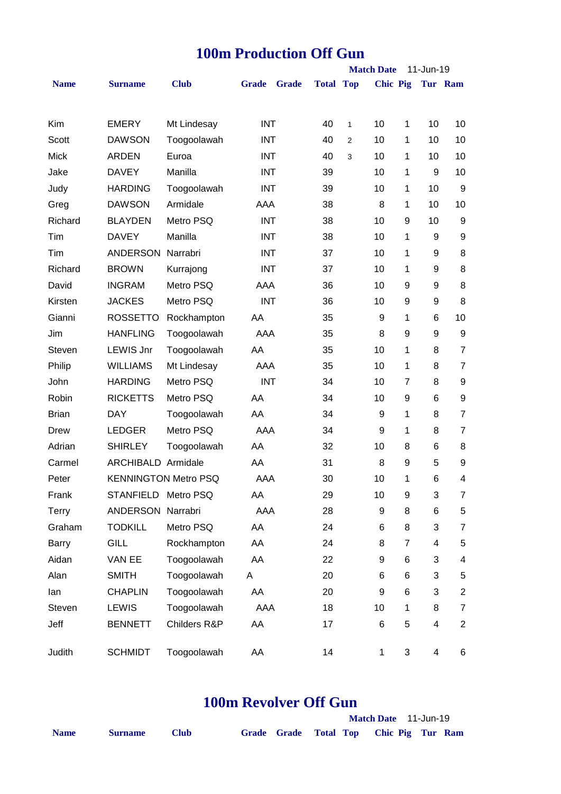|              |                           |                             |              |              |                  | <b>Match Date</b> |                 |                | 11-Jun-19 |                |
|--------------|---------------------------|-----------------------------|--------------|--------------|------------------|-------------------|-----------------|----------------|-----------|----------------|
| <b>Name</b>  | <b>Surname</b>            | <b>Club</b>                 | <b>Grade</b> | <b>Grade</b> | <b>Total Top</b> |                   | <b>Chic Pig</b> |                |           | Tur Ram        |
|              |                           |                             |              |              |                  |                   |                 |                |           |                |
| Kim          | <b>EMERY</b>              | Mt Lindesay                 | <b>INT</b>   |              | 40               | $\mathbf{1}$      | 10              | 1              | 10        | 10             |
| Scott        | <b>DAWSON</b>             | Toogoolawah                 | <b>INT</b>   |              | 40               | $\overline{2}$    | 10              | 1              | 10        | 10             |
| <b>Mick</b>  | <b>ARDEN</b>              | Euroa                       | <b>INT</b>   |              | 40               | 3                 | 10              | 1              | 10        | 10             |
| Jake         | <b>DAVEY</b>              | Manilla                     | <b>INT</b>   |              | 39               |                   | 10              | 1              | 9         | 10             |
| Judy         | <b>HARDING</b>            | Toogoolawah                 | <b>INT</b>   |              | 39               |                   | 10              | 1              | 10        | 9              |
| Greg         | <b>DAWSON</b>             | Armidale                    | AAA          |              | 38               |                   | 8               | 1              | 10        | 10             |
| Richard      | <b>BLAYDEN</b>            | Metro PSQ                   | <b>INT</b>   |              | 38               |                   | 10              | 9              | 10        | 9              |
| Tim          | <b>DAVEY</b>              | Manilla                     | <b>INT</b>   |              | 38               |                   | 10              | 1              | 9         | 9              |
| Tim          | ANDERSON Narrabri         |                             | <b>INT</b>   |              | 37               |                   | 10              | 1              | 9         | 8              |
| Richard      | <b>BROWN</b>              | Kurrajong                   | <b>INT</b>   |              | 37               |                   | 10              | 1              | 9         | 8              |
| David        | <b>INGRAM</b>             | Metro PSQ                   | AAA          |              | 36               |                   | 10              | 9              | 9         | 8              |
| Kirsten      | <b>JACKES</b>             | Metro PSQ                   | <b>INT</b>   |              | 36               |                   | 10              | 9              | 9         | 8              |
| Gianni       | <b>ROSSETTO</b>           | Rockhampton                 | AA           |              | 35               |                   | 9               | 1              | 6         | 10             |
| Jim          | <b>HANFLING</b>           | Toogoolawah                 | AAA          |              | 35               |                   | 8               | 9              | 9         | 9              |
| Steven       | <b>LEWIS Jnr</b>          | Toogoolawah                 | AA           |              | 35               |                   | 10              | 1              | 8         | $\overline{7}$ |
| Philip       | <b>WILLIAMS</b>           | Mt Lindesay                 | AAA          |              | 35               |                   | 10              | 1              | 8         | $\overline{7}$ |
| John         | <b>HARDING</b>            | Metro PSQ                   | <b>INT</b>   |              | 34               |                   | 10              | 7              | 8         | 9              |
| Robin        | <b>RICKETTS</b>           | Metro PSQ                   | AA           |              | 34               |                   | 10              | 9              | 6         | 9              |
| <b>Brian</b> | <b>DAY</b>                | Toogoolawah                 | AA           |              | 34               |                   | 9               | 1              | 8         | $\overline{7}$ |
| Drew         | <b>LEDGER</b>             | Metro PSQ                   | AAA          |              | 34               |                   | 9               | 1              | 8         | $\overline{7}$ |
| Adrian       | <b>SHIRLEY</b>            | Toogoolawah                 | AA           |              | 32               |                   | 10              | 8              | 6         | 8              |
| Carmel       | <b>ARCHIBALD Armidale</b> |                             | AA           |              | 31               |                   | 8               | 9              | 5         | 9              |
| Peter        |                           | <b>KENNINGTON Metro PSQ</b> | AAA          |              | 30               |                   | 10              | 1              | 6         | 4              |
| Frank        | STANFIELD Metro PSQ       |                             | AA           |              | 29               |                   | 10              | 9              | 3         | 7              |
| Terry        | ANDERSON Narrabri         |                             | AAA          |              | 28               |                   | 9               | 8              | 6         | 5              |
| Graham       | <b>TODKILL</b>            | Metro PSQ                   | AA           |              | 24               |                   | 6               | 8              | 3         | $\overline{7}$ |
| Barry        | <b>GILL</b>               | Rockhampton                 | AA           |              | 24               |                   | 8               | 7              | 4         | 5              |
| Aidan        | VAN EE                    | Toogoolawah                 | AA           |              | 22               |                   | 9               | 6              | 3         | 4              |
| Alan         | <b>SMITH</b>              | Toogoolawah                 | A            |              | 20               |                   | 6               | 6              | 3         | 5              |
| lan          | <b>CHAPLIN</b>            | Toogoolawah                 | AA           |              | 20               |                   | 9               | 6              | 3         | $\overline{c}$ |
| Steven       | <b>LEWIS</b>              | Toogoolawah                 | AAA          |              | 18               |                   | 10              | 1              | 8         | $\overline{7}$ |
| Jeff         | <b>BENNETT</b>            | Childers R&P                | AA           |              | 17               |                   | 6               | 5              | 4         | $\overline{c}$ |
| Judith       | <b>SCHMIDT</b>            | Toogoolawah                 | AA           |              | 14               |                   | $\mathbf{1}$    | $\mathfrak{S}$ | 4         | 6              |

## **100m Production Off Gun**

## **100m Revolver Off Gun**

|             |                |             |  |  | Match Date 11-Jun-19                   |  |
|-------------|----------------|-------------|--|--|----------------------------------------|--|
| <b>Name</b> | <b>Surname</b> | <b>Club</b> |  |  | Grade Grade Total Top Chic Pig Tur Ram |  |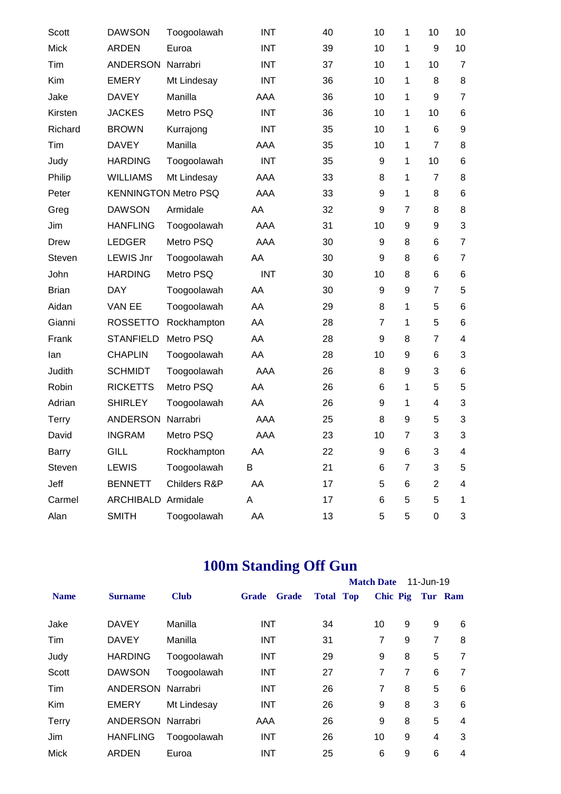| Scott        | <b>DAWSON</b>               | Toogoolawah  | <b>INT</b> | 40 | 10             | 1              | 10             | 10                      |
|--------------|-----------------------------|--------------|------------|----|----------------|----------------|----------------|-------------------------|
| <b>Mick</b>  | <b>ARDEN</b>                | Euroa        | <b>INT</b> | 39 | 10             | 1              | 9              | 10                      |
| Tim          | ANDERSON                    | Narrabri     | <b>INT</b> | 37 | 10             | 1              | 10             | $\overline{7}$          |
| Kim          | <b>EMERY</b>                | Mt Lindesay  | <b>INT</b> | 36 | 10             | 1              | 8              | 8                       |
| Jake         | <b>DAVEY</b>                | Manilla      | AAA        | 36 | 10             | 1              | 9              | $\overline{7}$          |
| Kirsten      | <b>JACKES</b>               | Metro PSQ    | <b>INT</b> | 36 | 10             | 1              | 10             | 6                       |
| Richard      | <b>BROWN</b>                | Kurrajong    | <b>INT</b> | 35 | 10             | 1              | 6              | 9                       |
| Tim          | <b>DAVEY</b>                | Manilla      | AAA        | 35 | 10             | 1              | $\overline{7}$ | 8                       |
| Judy         | <b>HARDING</b>              | Toogoolawah  | <b>INT</b> | 35 | 9              | 1              | 10             | 6                       |
| Philip       | <b>WILLIAMS</b>             | Mt Lindesay  | AAA        | 33 | 8              | 1              | $\overline{7}$ | 8                       |
| Peter        | <b>KENNINGTON Metro PSQ</b> |              | AAA        | 33 | 9              | 1              | 8              | 6                       |
| Greg         | <b>DAWSON</b>               | Armidale     | AA         | 32 | 9              | $\overline{7}$ | 8              | 8                       |
| Jim          | <b>HANFLING</b>             | Toogoolawah  | <b>AAA</b> | 31 | 10             | 9              | 9              | 3                       |
| <b>Drew</b>  | <b>LEDGER</b>               | Metro PSQ    | AAA        | 30 | 9              | 8              | 6              | $\overline{7}$          |
| Steven       | <b>LEWIS Jnr</b>            | Toogoolawah  | AA         | 30 | 9              | 8              | 6              | $\overline{7}$          |
| John         | <b>HARDING</b>              | Metro PSQ    | <b>INT</b> | 30 | 10             | 8              | 6              | 6                       |
| <b>Brian</b> | <b>DAY</b>                  | Toogoolawah  | AA         | 30 | 9              | 9              | $\overline{7}$ | 5                       |
| Aidan        | VAN EE                      | Toogoolawah  | AA         | 29 | 8              | 1              | 5              | 6                       |
| Gianni       | <b>ROSSETTO</b>             | Rockhampton  | AA         | 28 | $\overline{7}$ | 1              | 5              | 6                       |
| Frank        | <b>STANFIELD</b>            | Metro PSQ    | AA         | 28 | 9              | 8              | $\overline{7}$ | $\overline{\mathbf{4}}$ |
| lan          | <b>CHAPLIN</b>              | Toogoolawah  | AA         | 28 | 10             | 9              | 6              | 3                       |
| Judith       | <b>SCHMIDT</b>              | Toogoolawah  | AAA        | 26 | 8              | 9              | 3              | 6                       |
| Robin        | <b>RICKETTS</b>             | Metro PSQ    | AA         | 26 | 6              | 1              | 5              | 5                       |
| Adrian       | <b>SHIRLEY</b>              | Toogoolawah  | AA         | 26 | 9              | 1              | 4              | 3                       |
| <b>Terry</b> | ANDERSON Narrabri           |              | AAA        | 25 | 8              | 9              | 5              | 3                       |
| David        | <b>INGRAM</b>               | Metro PSQ    | AAA        | 23 | 10             | $\overline{7}$ | 3              | 3                       |
| Barry        | <b>GILL</b>                 | Rockhampton  | AA         | 22 | 9              | 6              | 3              | 4                       |
| Steven       | LEWIS                       | Toogoolawah  | B          | 21 | 6              | $\overline{7}$ | 3              | 5                       |
| Jeff         | <b>BENNETT</b>              | Childers R&P | AA         | 17 | 5              | 6              | $\overline{2}$ | 4                       |
| Carmel       | ARCHIBALD Armidale          |              | A          | 17 | 6              | 5              | 5              | 1                       |
| Alan         | <b>SMITH</b>                | Toogoolawah  | AA         | 13 | 5              | 5              | 0              | 3                       |

# **100m Standing Off Gun**

|              |                   |             |                              |                  | <b>Match Date</b> |                | 11-Jun-19      |                |
|--------------|-------------------|-------------|------------------------------|------------------|-------------------|----------------|----------------|----------------|
| <b>Name</b>  | <b>Surname</b>    | <b>Club</b> | <b>Grade</b><br><b>Grade</b> | <b>Total Top</b> | Chic Pig          |                | Tur Ram        |                |
| Jake         | <b>DAVEY</b>      | Manilla     | <b>INT</b>                   | 34               | 10                | 9              | 9              | 6              |
| Tim          | <b>DAVEY</b>      | Manilla     | <b>INT</b>                   | 31               | 7                 | 9              | $\overline{7}$ | 8              |
| Judy         | <b>HARDING</b>    | Toogoolawah | <b>INT</b>                   | 29               | 9                 | 8              | 5              | $\overline{7}$ |
| Scott        | <b>DAWSON</b>     | Toogoolawah | <b>INT</b>                   | 27               | 7                 | $\overline{7}$ | 6              | 7              |
| Tim          | ANDERSON Narrabri |             | <b>INT</b>                   | 26               | 7                 | 8              | 5              | 6              |
| <b>Kim</b>   | <b>EMERY</b>      | Mt Lindesay | <b>INT</b>                   | 26               | 9                 | 8              | 3              | 6              |
| <b>Terry</b> | ANDERSON Narrabri |             | AAA                          | 26               | 9                 | 8              | 5              | $\overline{4}$ |
| Jim          | <b>HANFLING</b>   | Toogoolawah | <b>INT</b>                   | 26               | 10                | 9              | 4              | 3              |
| <b>Mick</b>  | ARDEN             | Euroa       | <b>INT</b>                   | 25               | 6                 | 9              | 6              | $\overline{4}$ |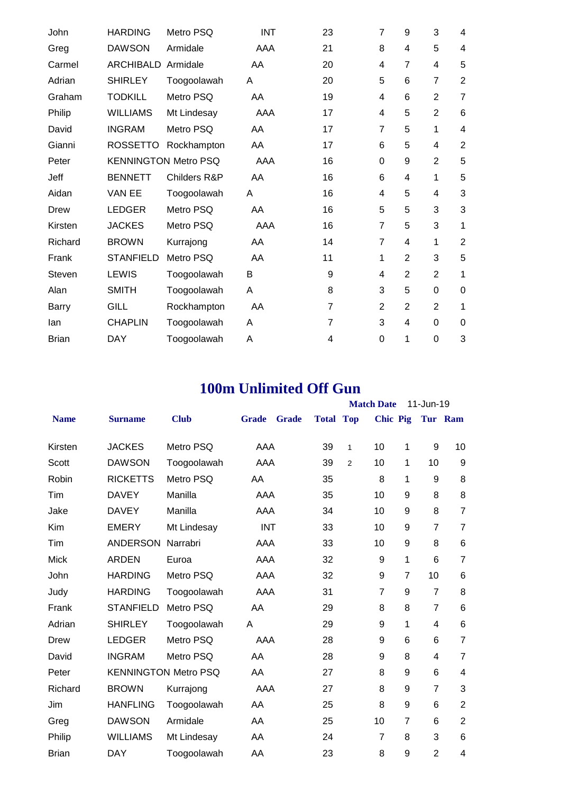| John         | <b>HARDING</b>   | Metro PSQ                   | <b>INT</b> | 23             | $\overline{7}$ | 9              | 3              | 4              |
|--------------|------------------|-----------------------------|------------|----------------|----------------|----------------|----------------|----------------|
| Greg         | <b>DAWSON</b>    | Armidale                    | AAA        | 21             | 8              | 4              | 5              | 4              |
| Carmel       | <b>ARCHIBALD</b> | Armidale                    | AA         | 20             | 4              | $\overline{7}$ | 4              | 5              |
| Adrian       | <b>SHIRLEY</b>   | Toogoolawah                 | A          | 20             | 5              | 6              | $\overline{7}$ | $\overline{2}$ |
| Graham       | <b>TODKILL</b>   | Metro PSQ                   | AA         | 19             | 4              | 6              | $\overline{2}$ | $\overline{7}$ |
| Philip       | <b>WILLIAMS</b>  | Mt Lindesay                 | AAA        | 17             | 4              | 5              | $\overline{2}$ | 6              |
| David        | <b>INGRAM</b>    | Metro PSQ                   | AA         | 17             | $\overline{7}$ | 5              | 1              | $\overline{4}$ |
| Gianni       | <b>ROSSETTO</b>  | Rockhampton                 | AA         | 17             | 6              | 5              | 4              | $\overline{2}$ |
| Peter        |                  | <b>KENNINGTON Metro PSQ</b> | AAA        | 16             | 0              | 9              | $\overline{2}$ | 5              |
| Jeff         | <b>BENNETT</b>   | <b>Childers R&amp;P</b>     | AA         | 16             | 6              | 4              | 1              | 5              |
| Aidan        | VAN EE           | Toogoolawah                 | Α          | 16             | 4              | 5              | 4              | 3              |
| Drew         | <b>LEDGER</b>    | Metro PSQ                   | AA         | 16             | 5              | 5              | 3              | 3              |
| Kirsten      | <b>JACKES</b>    | Metro PSQ                   | AAA        | 16             | 7              | 5              | 3              | 1              |
| Richard      | <b>BROWN</b>     | Kurrajong                   | AA         | 14             | $\overline{7}$ | 4              | 1              | $\overline{2}$ |
| Frank        | <b>STANFIELD</b> | Metro PSQ                   | AA         | 11             | 1              | $\overline{2}$ | 3              | 5              |
| Steven       | <b>LEWIS</b>     | Toogoolawah                 | B          | 9              | 4              | $\overline{2}$ | $\overline{2}$ | 1              |
| Alan         | <b>SMITH</b>     | Toogoolawah                 | Α          | 8              | 3              | 5              | $\Omega$       | $\mathbf 0$    |
| <b>Barry</b> | <b>GILL</b>      | Rockhampton                 | AA         | $\overline{7}$ | $\overline{2}$ | $\overline{2}$ | $\overline{2}$ | 1              |
| lan          | <b>CHAPLIN</b>   | Toogoolawah                 | A          | $\overline{7}$ | 3              | 4              | 0              | 0              |
| <b>Brian</b> | <b>DAY</b>       | Toogoolawah                 | Α          | 4              | 0              | 1              | $\overline{0}$ | 3              |
|              |                  |                             |            |                |                |                |                |                |

### **100m Unlimited Off Gun**

|              |                  |                             |              |              |                  |   | <b>Match Date</b> |                  | 11-Jun-19      |                 |
|--------------|------------------|-----------------------------|--------------|--------------|------------------|---|-------------------|------------------|----------------|-----------------|
| <b>Name</b>  | <b>Surname</b>   | <b>Club</b>                 | <b>Grade</b> | <b>Grade</b> | <b>Total Top</b> |   | <b>Chic Pig</b>   |                  |                | Tur Ram         |
| Kirsten      | <b>JACKES</b>    | Metro PSQ                   | AAA          |              | 39               | 1 | 10                | 1                | 9              | 10              |
| Scott        | <b>DAWSON</b>    | Toogoolawah                 | AAA          |              | 39               | 2 | 10                | 1                | 10             | 9               |
| Robin        | <b>RICKETTS</b>  | Metro PSQ                   | AA           |              | 35               |   | 8                 | 1                | 9              | 8               |
| Tim          | <b>DAVEY</b>     | Manilla                     | AAA          |              | 35               |   | 10                | 9                | 8              | 8               |
| Jake         | <b>DAVEY</b>     | Manilla                     | AAA          |              | 34               |   | 10                | 9                | 8              | $\overline{7}$  |
| Kim          | <b>EMERY</b>     | Mt Lindesay                 | <b>INT</b>   |              | 33               |   | 10                | 9                | $\overline{7}$ | $\overline{7}$  |
| Tim          | <b>ANDERSON</b>  | Narrabri                    | AAA          |              | 33               |   | 10                | $\boldsymbol{9}$ | 8              | 6               |
| <b>Mick</b>  | <b>ARDEN</b>     | Euroa                       | AAA          |              | 32               |   | 9                 | 1                | 6              | $\overline{7}$  |
| John         | <b>HARDING</b>   | Metro PSQ                   | AAA          |              | 32               |   | 9                 | $\overline{7}$   | 10             | 6               |
| Judy         | <b>HARDING</b>   | Toogoolawah                 | AAA          |              | 31               |   | $\overline{7}$    | 9                | $\overline{7}$ | 8               |
| Frank        | <b>STANFIELD</b> | Metro PSQ                   | AA           |              | 29               |   | 8                 | 8                | $\overline{7}$ | 6               |
| Adrian       | <b>SHIRLEY</b>   | Toogoolawah                 | Α            |              | 29               |   | 9                 | 1                | $\overline{4}$ | $6\phantom{1}6$ |
| Drew         | <b>LEDGER</b>    | Metro PSQ                   | AAA          |              | 28               |   | 9                 | 6                | 6              | $\overline{7}$  |
| David        | <b>INGRAM</b>    | Metro PSQ                   | AA           |              | 28               |   | 9                 | 8                | 4              | $\overline{7}$  |
| Peter        |                  | <b>KENNINGTON Metro PSQ</b> | AA           |              | 27               |   | 8                 | 9                | 6              | 4               |
| Richard      | <b>BROWN</b>     | Kurrajong                   | <b>AAA</b>   |              | 27               |   | 8                 | 9                | $\overline{7}$ | 3               |
| Jim          | <b>HANFLING</b>  | Toogoolawah                 | AA           |              | 25               |   | 8                 | 9                | 6              | $\overline{2}$  |
| Greg         | <b>DAWSON</b>    | Armidale                    | AA           |              | 25               |   | 10                | $\overline{7}$   | 6              | $\overline{2}$  |
| Philip       | <b>WILLIAMS</b>  | Mt Lindesay                 | AA           |              | 24               |   | $\overline{7}$    | 8                | 3              | $6\phantom{1}6$ |
| <b>Brian</b> | <b>DAY</b>       | Toogoolawah                 | AA           |              | 23               |   | 8                 | 9                | $\overline{2}$ | 4               |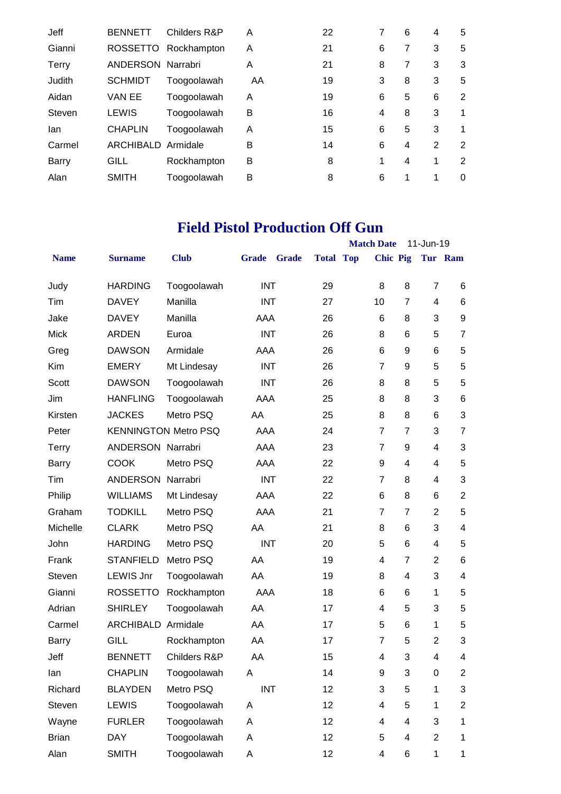| Jeff   | <b>BENNETT</b>  | Childers R&P | A  | 22 | 7 | 6 | 4 | 5        |
|--------|-----------------|--------------|----|----|---|---|---|----------|
| Gianni | <b>ROSSETTO</b> | Rockhampton  | A  | 21 | 6 | 7 | 3 | 5        |
| Terry  | ANDERSON        | Narrabri     | A  | 21 | 8 | 7 | 3 | 3        |
| Judith | <b>SCHMIDT</b>  | Toogoolawah  | AA | 19 | 3 | 8 | 3 | 5        |
| Aidan  | VAN EE          | Toogoolawah  | A  | 19 | 6 | 5 | 6 | 2        |
| Steven | <b>LEWIS</b>    | Toogoolawah  | В  | 16 | 4 | 8 | 3 | 1        |
| lan    | <b>CHAPLIN</b>  | Toogoolawah  | A  | 15 | 6 | 5 | 3 | 1        |
| Carmel | ARCHIBALD       | Armidale     | B  | 14 | 6 | 4 | 2 | 2        |
| Barry  | GILL            | Rockhampton  | В  | 8  | 1 | 4 | 1 | 2        |
| Alan   | <b>SMITH</b>    | Toogoolawah  | B  | 8  | 6 | 1 | 1 | $\Omega$ |

# **Field Pistol Production Off Gun**

|              |                             |              |              |              |                  | <b>Match Date</b> |                           | 11-Jun-19      |                           |
|--------------|-----------------------------|--------------|--------------|--------------|------------------|-------------------|---------------------------|----------------|---------------------------|
| <b>Name</b>  | <b>Surname</b>              | <b>Club</b>  | <b>Grade</b> | <b>Grade</b> | <b>Total Top</b> | <b>Chic Pig</b>   |                           |                | Tur Ram                   |
| Judy         | <b>HARDING</b>              | Toogoolawah  | <b>INT</b>   |              | 29               | 8                 | 8                         | $\overline{7}$ | 6                         |
| Tim          | <b>DAVEY</b>                | Manilla      | <b>INT</b>   |              | 27               | 10                | $\overline{7}$            | 4              | $6\phantom{1}6$           |
| Jake         | <b>DAVEY</b>                | Manilla      | AAA          |              | 26               | 6                 | 8                         | 3              | 9                         |
| <b>Mick</b>  | <b>ARDEN</b>                | Euroa        | <b>INT</b>   |              | 26               | 8                 | 6                         | 5              | $\overline{7}$            |
| Greg         | <b>DAWSON</b>               | Armidale     | AAA          |              | 26               | 6                 | 9                         | 6              | 5                         |
| Kim          | <b>EMERY</b>                | Mt Lindesay  | <b>INT</b>   |              | 26               | $\overline{7}$    | 9                         | 5              | 5                         |
| Scott        | <b>DAWSON</b>               | Toogoolawah  | <b>INT</b>   |              | 26               | 8                 | 8                         | 5              | 5                         |
| Jim          | <b>HANFLING</b>             | Toogoolawah  | AAA          |              | 25               | 8                 | 8                         | 3              | $\,6$                     |
| Kirsten      | <b>JACKES</b>               | Metro PSQ    | AA           |              | 25               | 8                 | 8                         | 6              | $\mathbf{3}$              |
| Peter        | <b>KENNINGTON Metro PSQ</b> |              | AAA          |              | 24               | $\overline{7}$    | $\overline{7}$            | 3              | $\overline{7}$            |
| <b>Terry</b> | ANDERSON Narrabri           |              | AAA          |              | 23               | $\overline{7}$    | 9                         | 4              | 3                         |
| <b>Barry</b> | <b>COOK</b>                 | Metro PSQ    | AAA          |              | 22               | 9                 | 4                         | 4              | 5                         |
| Tim          | <b>ANDERSON</b>             | Narrabri     | <b>INT</b>   |              | 22               | $\overline{7}$    | 8                         | 4              | 3                         |
| Philip       | <b>WILLIAMS</b>             | Mt Lindesay  | AAA          |              | 22               | 6                 | 8                         | 6              | $\overline{2}$            |
| Graham       | <b>TODKILL</b>              | Metro PSQ    | AAA          |              | 21               | $\overline{7}$    | $\overline{7}$            | $\overline{2}$ | 5                         |
| Michelle     | <b>CLARK</b>                | Metro PSQ    | AA           |              | 21               | 8                 | 6                         | 3              | $\overline{\mathbf{4}}$   |
| John         | <b>HARDING</b>              | Metro PSQ    | <b>INT</b>   |              | 20               | 5                 | 6                         | 4              | 5                         |
| Frank        | <b>STANFIELD</b>            | Metro PSQ    | AA           |              | 19               | 4                 | 7                         | $\overline{2}$ | $6\phantom{1}6$           |
| Steven       | <b>LEWIS Jnr</b>            | Toogoolawah  | AA           |              | 19               | 8                 | 4                         | 3              | $\overline{\mathbf{4}}$   |
| Gianni       | <b>ROSSETTO</b>             | Rockhampton  | AAA          |              | 18               | 6                 | 6                         | 1              | 5                         |
| Adrian       | <b>SHIRLEY</b>              | Toogoolawah  | AA           |              | 17               | $\overline{4}$    | 5                         | 3              | 5                         |
| Carmel       | ARCHIBALD Armidale          |              | AA           |              | 17               | 5                 | 6                         | 1              | 5                         |
| Barry        | <b>GILL</b>                 | Rockhampton  | AA           |              | 17               | $\overline{7}$    | 5                         | $\overline{2}$ | $\ensuremath{\mathsf{3}}$ |
| Jeff         | <b>BENNETT</b>              | Childers R&P | AA           |              | 15               | 4                 | 3                         | 4              | 4                         |
| lan          | <b>CHAPLIN</b>              | Toogoolawah  | A            |              | 14               | 9                 | $\ensuremath{\mathsf{3}}$ | $\pmb{0}$      | $\boldsymbol{2}$          |
| Richard      | <b>BLAYDEN</b>              | Metro PSQ    | <b>INT</b>   |              | 12               | 3                 | 5                         | 1              | $\sqrt{3}$                |
| Steven       | <b>LEWIS</b>                | Toogoolawah  | Α            |              | 12               | 4                 | 5                         | 1              | $\boldsymbol{2}$          |
| Wayne        | <b>FURLER</b>               | Toogoolawah  | Α            |              | 12               | 4                 | 4                         | 3              | 1                         |
| <b>Brian</b> | <b>DAY</b>                  | Toogoolawah  | Α            |              | 12               | 5                 | 4                         | $\overline{2}$ | 1                         |
| Alan         | <b>SMITH</b>                | Toogoolawah  | Α            |              | 12               | 4                 | 6                         | $\mathbf{1}$   | 1                         |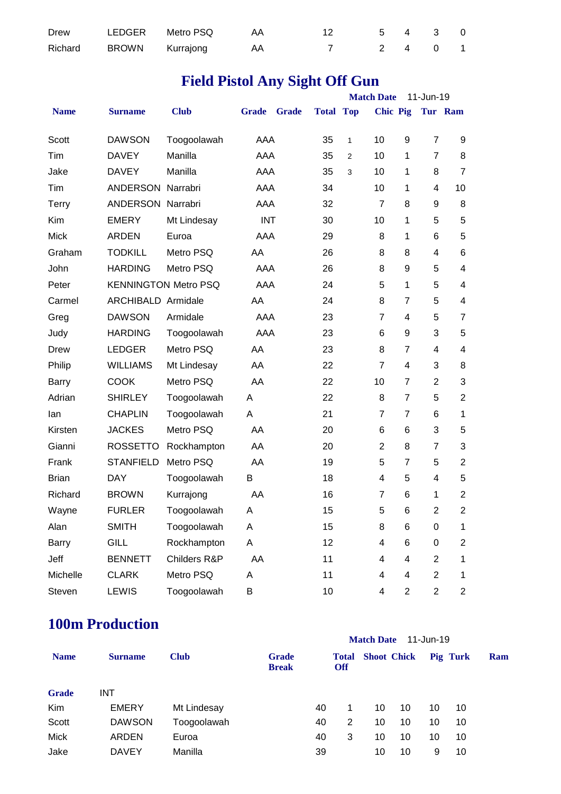| Drew | LEDGER Metro PSQ        | AA A | 12 5 4 3 0 |  |  |
|------|-------------------------|------|------------|--|--|
|      | Richard BROWN Kurrajong | AA A | 7 2 4 0 1  |  |  |

# **Field Pistol Any Sight Off Gun**

|              |                           |                             |              |              |                  |   | <b>Match Date</b> |                | 11-Jun-19               |                         |
|--------------|---------------------------|-----------------------------|--------------|--------------|------------------|---|-------------------|----------------|-------------------------|-------------------------|
| <b>Name</b>  | <b>Surname</b>            | <b>Club</b>                 | <b>Grade</b> | <b>Grade</b> | <b>Total Top</b> |   | <b>Chic Pig</b>   |                |                         | Tur Ram                 |
| Scott        | <b>DAWSON</b>             | Toogoolawah                 | AAA          |              | 35               | 1 | 10                | 9              | $\overline{7}$          | 9                       |
| Tim          | <b>DAVEY</b>              | Manilla                     | AAA          |              | 35               | 2 | 10                | 1              | $\overline{7}$          | 8                       |
| Jake         | <b>DAVEY</b>              | Manilla                     | AAA          |              | 35               | 3 | 10                | 1              | 8                       | $\overline{7}$          |
| Tim          | <b>ANDERSON Narrabri</b>  |                             | AAA          |              | 34               |   | 10                | 1              | 4                       | 10                      |
| <b>Terry</b> | ANDERSON Narrabri         |                             | AAA          |              | 32               |   | $\overline{7}$    | 8              | 9                       | 8                       |
| Kim          | <b>EMERY</b>              | Mt Lindesay                 | <b>INT</b>   |              | 30               |   | 10                | 1              | 5                       | 5                       |
| <b>Mick</b>  | <b>ARDEN</b>              | Euroa                       | AAA          |              | 29               |   | 8                 | 1              | 6                       | 5                       |
| Graham       | <b>TODKILL</b>            | Metro PSQ                   | AA           |              | 26               |   | 8                 | 8              | 4                       | 6                       |
| John         | <b>HARDING</b>            | Metro PSQ                   | AAA          |              | 26               |   | 8                 | 9              | 5                       | 4                       |
| Peter        |                           | <b>KENNINGTON Metro PSQ</b> | AAA          |              | 24               |   | 5                 | 1              | 5                       | 4                       |
| Carmel       | <b>ARCHIBALD Armidale</b> |                             | AA           |              | 24               |   | 8                 | $\overline{7}$ | 5                       | 4                       |
| Greg         | <b>DAWSON</b>             | Armidale                    | AAA          |              | 23               |   | $\overline{7}$    | 4              | 5                       | $\overline{7}$          |
| Judy         | <b>HARDING</b>            | Toogoolawah                 | AAA          |              | 23               |   | 6                 | 9              | 3                       | 5                       |
| <b>Drew</b>  | <b>LEDGER</b>             | Metro PSQ                   | AA           |              | 23               |   | 8                 | 7              | 4                       | 4                       |
| Philip       | <b>WILLIAMS</b>           | Mt Lindesay                 | AA           |              | 22               |   | $\overline{7}$    | 4              | 3                       | 8                       |
| Barry        | <b>COOK</b>               | Metro PSQ                   | AA           |              | 22               |   | 10                | $\overline{7}$ | $\overline{2}$          | 3                       |
| Adrian       | <b>SHIRLEY</b>            | Toogoolawah                 | Α            |              | 22               |   | 8                 | $\overline{7}$ | 5                       | $\overline{c}$          |
| lan          | <b>CHAPLIN</b>            | Toogoolawah                 | Α            |              | 21               |   | $\overline{7}$    | $\overline{7}$ | 6                       | 1                       |
| Kirsten      | <b>JACKES</b>             | Metro PSQ                   | AA           |              | 20               |   | 6                 | 6              | 3                       | 5                       |
| Gianni       | <b>ROSSETTO</b>           | Rockhampton                 | AA           |              | 20               |   | $\overline{2}$    | 8              | $\overline{7}$          | 3                       |
| Frank        | <b>STANFIELD</b>          | Metro PSQ                   | AA           |              | 19               |   | 5                 | 7              | 5                       | $\mathbf{2}$            |
| <b>Brian</b> | <b>DAY</b>                | Toogoolawah                 | В            |              | 18               |   | 4                 | 5              | 4                       | 5                       |
| Richard      | <b>BROWN</b>              | Kurrajong                   | AA           |              | 16               |   | $\overline{7}$    | 6              | 1                       | $\overline{c}$          |
| Wayne        | <b>FURLER</b>             | Toogoolawah                 | A            |              | 15               |   | 5                 | 6              | $\overline{2}$          | $\overline{2}$          |
| Alan         | <b>SMITH</b>              | Toogoolawah                 | Α            |              | 15               |   | 8                 | 6              | 0                       | 1                       |
| Barry        | <b>GILL</b>               | Rockhampton                 | А            |              | 12               |   | 4                 | 6              | 0                       | $\overline{\mathbf{c}}$ |
| Jeff         | <b>BENNETT</b>            | Childers R&P                | AA           |              | 11               |   | 4                 | 4              | $\overline{\mathbf{c}}$ | 1                       |
| Michelle     | <b>CLARK</b>              | Metro PSQ                   | A            |              | 11               |   | 4                 | 4              | $\overline{c}$          | 1                       |
| Steven       | <b>LEWIS</b>              | Toogoolawah                 | В            |              | 10               |   | 4                 | $\mathbf{2}$   | $\overline{c}$          | $\overline{2}$          |

### **100m Production**

|              |                |             | <b>Match Date</b><br>11-Jun-19 |    |                            |    |                    |    |          |     |  |  |
|--------------|----------------|-------------|--------------------------------|----|----------------------------|----|--------------------|----|----------|-----|--|--|
| <b>Name</b>  | <b>Surname</b> | <b>Club</b> | <b>Grade</b><br><b>Break</b>   |    | <b>Total</b><br><b>Off</b> |    | <b>Shoot Chick</b> |    | Pig Turk | Ram |  |  |
| <b>Grade</b> | <b>INT</b>     |             |                                |    |                            |    |                    |    |          |     |  |  |
| Kim          | <b>EMERY</b>   | Mt Lindesay |                                | 40 |                            | 10 | 10                 | 10 | 10       |     |  |  |
| Scott        | <b>DAWSON</b>  | Toogoolawah |                                | 40 | 2                          | 10 | 10                 | 10 | 10       |     |  |  |
| Mick         | <b>ARDEN</b>   | Euroa       |                                | 40 | 3                          | 10 | 10                 | 10 | 10       |     |  |  |
| Jake         | <b>DAVEY</b>   | Manilla     |                                | 39 |                            | 10 | 10                 | 9  | 10       |     |  |  |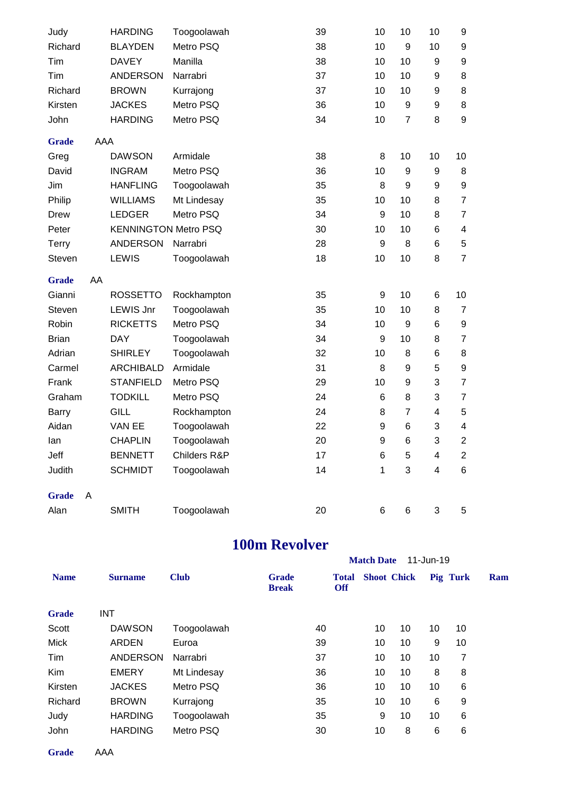| Judy         |            | <b>HARDING</b>              | Toogoolawah  | 39 | 10 | 10              | 10                      | 9                       |
|--------------|------------|-----------------------------|--------------|----|----|-----------------|-------------------------|-------------------------|
| Richard      |            | <b>BLAYDEN</b>              | Metro PSQ    | 38 | 10 | 9               | 10                      | 9                       |
| Tim          |            | <b>DAVEY</b>                | Manilla      | 38 | 10 | 10              | 9                       | 9                       |
| Tim          |            | <b>ANDERSON</b>             | Narrabri     | 37 | 10 | 10              | 9                       | 8                       |
| Richard      |            | <b>BROWN</b>                | Kurrajong    | 37 | 10 | 10              | 9                       | 8                       |
| Kirsten      |            | <b>JACKES</b>               | Metro PSQ    | 36 | 10 | 9               | 9                       | 8                       |
| John         |            | <b>HARDING</b>              | Metro PSQ    | 34 | 10 | $\overline{7}$  | 8                       | $\boldsymbol{9}$        |
| <b>Grade</b> | <b>AAA</b> |                             |              |    |    |                 |                         |                         |
| Greg         |            | <b>DAWSON</b>               | Armidale     | 38 | 8  | 10              | 10                      | 10                      |
| David        |            | <b>INGRAM</b>               | Metro PSQ    | 36 | 10 | 9               | 9                       | 8                       |
| Jim          |            | <b>HANFLING</b>             | Toogoolawah  | 35 | 8  | 9               | 9                       | 9                       |
| Philip       |            | <b>WILLIAMS</b>             | Mt Lindesay  | 35 | 10 | 10              | 8                       | $\overline{7}$          |
| <b>Drew</b>  |            | <b>LEDGER</b>               | Metro PSQ    | 34 | 9  | 10              | 8                       | $\overline{7}$          |
| Peter        |            | <b>KENNINGTON Metro PSQ</b> |              | 30 | 10 | 10              | 6                       | 4                       |
| <b>Terry</b> |            | <b>ANDERSON</b>             | Narrabri     | 28 | 9  | 8               | 6                       | 5                       |
| Steven       |            | LEWIS                       | Toogoolawah  | 18 | 10 | 10              | 8                       | $\overline{7}$          |
|              |            |                             |              |    |    |                 |                         |                         |
| <b>Grade</b> | AA         |                             |              |    |    |                 |                         |                         |
| Gianni       |            | <b>ROSSETTO</b>             | Rockhampton  | 35 | 9  | 10              | 6                       | 10                      |
| Steven       |            | <b>LEWIS Jnr</b>            | Toogoolawah  | 35 | 10 | 10              | 8                       | $\overline{7}$          |
| Robin        |            | <b>RICKETTS</b>             | Metro PSQ    | 34 | 10 | 9               | 6                       | 9                       |
| <b>Brian</b> |            | <b>DAY</b>                  | Toogoolawah  | 34 | 9  | 10              | 8                       | $\overline{7}$          |
| Adrian       |            | <b>SHIRLEY</b>              | Toogoolawah  | 32 | 10 | 8               | 6                       | 8                       |
| Carmel       |            | <b>ARCHIBALD</b>            | Armidale     | 31 | 8  | 9               | 5                       | $\boldsymbol{9}$        |
| Frank        |            | <b>STANFIELD</b>            | Metro PSQ    | 29 | 10 | 9               | 3                       | $\overline{7}$          |
| Graham       |            | <b>TODKILL</b>              | Metro PSQ    | 24 | 6  | 8               | 3                       | $\overline{7}$          |
| <b>Barry</b> |            | <b>GILL</b>                 | Rockhampton  | 24 | 8  | $\overline{7}$  | 4                       | 5                       |
| Aidan        |            | VAN EE                      | Toogoolawah  | 22 | 9  | 6               | 3                       | 4                       |
| lan          |            | <b>CHAPLIN</b>              | Toogoolawah  | 20 | 9  | $6\phantom{1}6$ | 3                       | $\overline{2}$          |
| Jeff         |            | <b>BENNETT</b>              | Childers R&P | 17 | 6  | 5               | 4                       | $\overline{\mathbf{c}}$ |
| Judith       |            | <b>SCHMIDT</b>              | Toogoolawah  | 14 | 1  | 3               | $\overline{\mathbf{4}}$ | $\,6$                   |
| <b>Grade</b> | A          |                             |              |    |    |                 |                         |                         |

### **100m Revolver**

|                 |             | <b>Match Date</b><br>11-Jun-19 |                            |    |                    |    |          |  |  |  |
|-----------------|-------------|--------------------------------|----------------------------|----|--------------------|----|----------|--|--|--|
| <b>Surname</b>  | <b>Club</b> | <b>Grade</b><br><b>Break</b>   | <b>Total</b><br><b>Off</b> |    |                    |    | Ram      |  |  |  |
| <b>INT</b>      |             |                                |                            |    |                    |    |          |  |  |  |
| <b>DAWSON</b>   | Toogoolawah | 40                             | 10                         | 10 | 10                 | 10 |          |  |  |  |
| <b>ARDEN</b>    | Euroa       | 39                             | 10                         | 10 | 9                  | 10 |          |  |  |  |
| <b>ANDERSON</b> | Narrabri    | 37                             | 10                         | 10 | 10                 | 7  |          |  |  |  |
| <b>EMERY</b>    | Mt Lindesay | 36                             | 10                         | 10 | 8                  | 8  |          |  |  |  |
| <b>JACKES</b>   | Metro PSQ   | 36                             | 10                         | 10 | 10                 | 6  |          |  |  |  |
| <b>BROWN</b>    | Kurrajong   | 35                             | 10                         | 10 | 6                  | 9  |          |  |  |  |
| <b>HARDING</b>  | Toogoolawah | 35                             | 9                          | 10 | 10                 | 6  |          |  |  |  |
| <b>HARDING</b>  | Metro PSQ   | 30                             | 10                         | 8  | 6                  | 6  |          |  |  |  |
|                 |             |                                |                            |    | <b>Shoot</b> Chick |    | Pig Turk |  |  |  |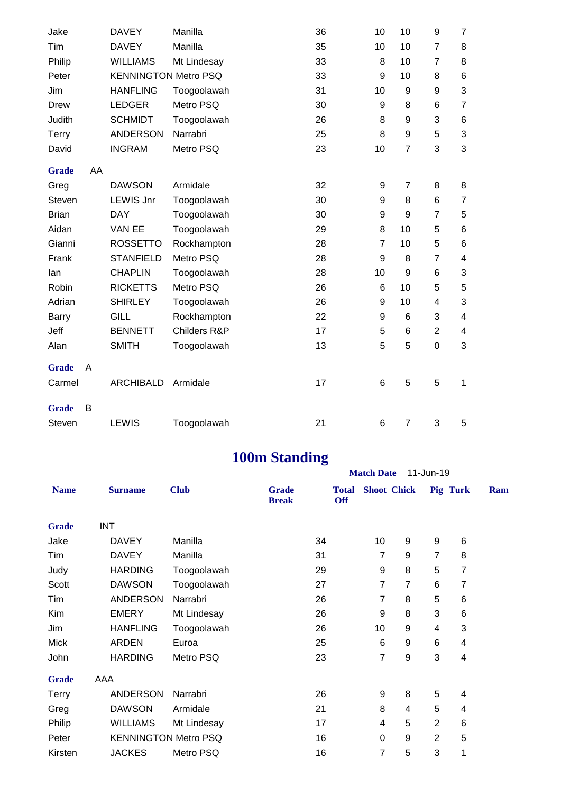| Jake         |    | <b>DAVEY</b>                | Manilla      | 36 | 10 | 10             | 9              | $\overline{7}$ |
|--------------|----|-----------------------------|--------------|----|----|----------------|----------------|----------------|
| Tim          |    | <b>DAVEY</b>                | Manilla      | 35 | 10 | 10             | $\overline{7}$ | 8              |
| Philip       |    | <b>WILLIAMS</b>             | Mt Lindesay  | 33 | 8  | 10             | 7              | 8              |
| Peter        |    | <b>KENNINGTON Metro PSQ</b> |              | 33 | 9  | 10             | 8              | 6              |
| Jim          |    | <b>HANFLING</b>             | Toogoolawah  | 31 | 10 | 9              | 9              | 3              |
| <b>Drew</b>  |    | <b>LEDGER</b>               | Metro PSQ    | 30 | 9  | 8              | 6              | $\overline{7}$ |
| Judith       |    | <b>SCHMIDT</b>              | Toogoolawah  | 26 | 8  | 9              | 3              | 6              |
| Terry        |    | <b>ANDERSON</b>             | Narrabri     | 25 | 8  | 9              | 5              | 3              |
| David        |    | <b>INGRAM</b>               | Metro PSQ    | 23 | 10 | $\overline{7}$ | 3              | 3              |
| <b>Grade</b> | AA |                             |              |    |    |                |                |                |
| Greg         |    | <b>DAWSON</b>               | Armidale     | 32 | 9  | $\overline{7}$ | 8              | 8              |
| Steven       |    | <b>LEWIS Jnr</b>            | Toogoolawah  | 30 | 9  | 8              | 6              | $\overline{7}$ |
| <b>Brian</b> |    | <b>DAY</b>                  | Toogoolawah  | 30 | 9  | 9              | 7              | 5              |
| Aidan        |    | VAN EE                      | Toogoolawah  | 29 | 8  | 10             | 5              | 6              |
| Gianni       |    | <b>ROSSETTO</b>             | Rockhampton  | 28 | 7  | 10             | 5              | 6              |
| Frank        |    | <b>STANFIELD</b>            | Metro PSQ    | 28 | 9  | 8              | $\overline{7}$ | 4              |
| lan          |    | <b>CHAPLIN</b>              | Toogoolawah  | 28 | 10 | 9              | 6              | 3              |
| Robin        |    | <b>RICKETTS</b>             | Metro PSQ    | 26 | 6  | 10             | 5              | 5              |
| Adrian       |    | <b>SHIRLEY</b>              | Toogoolawah  | 26 | 9  | 10             | 4              | 3              |
| <b>Barry</b> |    | <b>GILL</b>                 | Rockhampton  | 22 | 9  | 6              | 3              | 4              |
| Jeff         |    | <b>BENNETT</b>              | Childers R&P | 17 | 5  | 6              | $\overline{2}$ | 4              |
| Alan         |    | <b>SMITH</b>                | Toogoolawah  | 13 | 5  | 5              | $\mathbf 0$    | 3              |
| <b>Grade</b> | A  |                             |              |    |    |                |                |                |
| Carmel       |    | <b>ARCHIBALD</b>            | Armidale     | 17 | 6  | 5              | 5              | $\mathbf 1$    |
| <b>Grade</b> | B  |                             |              |    |    |                |                |                |
| Steven       |    | <b>LEWIS</b>                | Toogoolawah  | 21 | 6  | $\overline{7}$ | 3              | 5              |

# **100m Standing**

|              |                 |                             |                              | <b>Match Date</b>          | 11-Jun-19          |                  |                |                |     |
|--------------|-----------------|-----------------------------|------------------------------|----------------------------|--------------------|------------------|----------------|----------------|-----|
| <b>Name</b>  | <b>Surname</b>  | <b>Club</b>                 | <b>Grade</b><br><b>Break</b> | <b>Total</b><br><b>Off</b> | <b>Shoot Chick</b> |                  | Pig Turk       |                | Ram |
| <b>Grade</b> | <b>INT</b>      |                             |                              |                            |                    |                  |                |                |     |
| Jake         | <b>DAVEY</b>    | Manilla                     |                              | 34                         | 10                 | $\boldsymbol{9}$ | 9              | 6              |     |
| Tim          | <b>DAVEY</b>    | Manilla                     |                              | 31                         | 7                  | 9                | $\overline{7}$ | 8              |     |
| Judy         | <b>HARDING</b>  | Toogoolawah                 |                              | 29                         | 9                  | 8                | 5              | 7              |     |
| Scott        | <b>DAWSON</b>   | Toogoolawah                 |                              | 27                         | 7                  | $\overline{7}$   | 6              | $\overline{7}$ |     |
| Tim          | <b>ANDERSON</b> | Narrabri                    |                              | 26                         | 7                  | 8                | 5              | 6              |     |
| Kim          | <b>EMERY</b>    | Mt Lindesay                 |                              | 26                         | 9                  | 8                | 3              | 6              |     |
| Jim          | <b>HANFLING</b> | Toogoolawah                 |                              | 26                         | 10                 | 9                | 4              | 3              |     |
| <b>Mick</b>  | ARDEN           | Euroa                       |                              | 25                         | 6                  | 9                | 6              | 4              |     |
| John         | <b>HARDING</b>  | Metro PSQ                   |                              | 23                         | $\overline{7}$     | 9                | 3              | 4              |     |
| <b>Grade</b> | AAA             |                             |                              |                            |                    |                  |                |                |     |
| <b>Terry</b> | <b>ANDERSON</b> | Narrabri                    |                              | 26                         | 9                  | 8                | 5              | 4              |     |
| Greg         | <b>DAWSON</b>   | Armidale                    |                              | 21                         | 8                  | 4                | 5              | 4              |     |
| Philip       | <b>WILLIAMS</b> | Mt Lindesay                 |                              | 17                         | 4                  | 5                | $\overline{2}$ | 6              |     |
| Peter        |                 | <b>KENNINGTON Metro PSQ</b> |                              | 16                         | $\mathbf 0$        | 9                | $\overline{2}$ | 5              |     |
| Kirsten      | <b>JACKES</b>   | Metro PSQ                   |                              | 16                         | 7                  | 5                | 3              | 1              |     |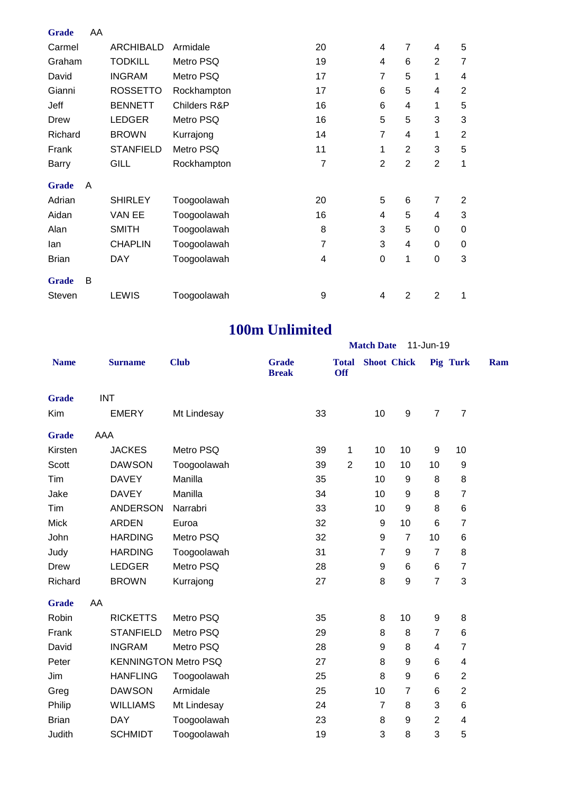| <b>Grade</b> | AA |                  |              |                |                |                |                |                |
|--------------|----|------------------|--------------|----------------|----------------|----------------|----------------|----------------|
| Carmel       |    | <b>ARCHIBALD</b> | Armidale     | 20             | 4              | 7              | 4              | 5              |
| Graham       |    | <b>TODKILL</b>   | Metro PSQ    | 19             | 4              | 6              | $\overline{2}$ | $\overline{7}$ |
| David        |    | <b>INGRAM</b>    | Metro PSQ    | 17             | 7              | 5              | 1              | 4              |
| Gianni       |    | <b>ROSSETTO</b>  | Rockhampton  | 17             | 6              | 5              | 4              | $\overline{2}$ |
| Jeff         |    | <b>BENNETT</b>   | Childers R&P | 16             | 6              | 4              | 1              | 5              |
| <b>Drew</b>  |    | <b>LEDGER</b>    | Metro PSQ    | 16             | 5              | 5              | 3              | 3              |
| Richard      |    | <b>BROWN</b>     | Kurrajong    | 14             | 7              | 4              | 1              | $\overline{2}$ |
| Frank        |    | <b>STANFIELD</b> | Metro PSQ    | 11             | 1              | $\overline{2}$ | 3              | 5              |
| Barry        |    | GILL             | Rockhampton  | $\overline{7}$ | $\overline{2}$ | $\overline{2}$ | $\overline{2}$ | 1              |
| <b>Grade</b> | A  |                  |              |                |                |                |                |                |
| Adrian       |    | <b>SHIRLEY</b>   | Toogoolawah  | 20             | 5              | 6              | 7              | 2              |
| Aidan        |    | VAN EE           | Toogoolawah  | 16             | 4              | 5              | 4              | 3              |
| Alan         |    | <b>SMITH</b>     | Toogoolawah  | 8              | 3              | 5              | 0              | 0              |
| lan          |    | <b>CHAPLIN</b>   | Toogoolawah  | $\overline{7}$ | 3              | 4              | 0              | 0              |
| <b>Brian</b> |    | <b>DAY</b>       | Toogoolawah  | 4              | 0              | 1              | 0              | 3              |
| <b>Grade</b> | B  |                  |              |                |                |                |                |                |
| Steven       |    | <b>LEWIS</b>     | Toogoolawah  | 9              | 4              | $\overline{2}$ | 2              | 1              |

## **100m Unlimited**

| <b>100m Unlimited</b>          |                  |                             |                              |    |                            |                    |                  |                         |                |     |  |
|--------------------------------|------------------|-----------------------------|------------------------------|----|----------------------------|--------------------|------------------|-------------------------|----------------|-----|--|
| <b>Match Date</b><br>11-Jun-19 |                  |                             |                              |    |                            |                    |                  |                         |                |     |  |
| <b>Name</b>                    | <b>Surname</b>   | <b>Club</b>                 | <b>Grade</b><br><b>Break</b> |    | <b>Total</b><br><b>Off</b> | <b>Shoot</b> Chick |                  |                         | Pig Turk       | Ram |  |
| <b>Grade</b>                   | <b>INT</b>       |                             |                              |    |                            |                    |                  |                         |                |     |  |
| Kim                            | <b>EMERY</b>     | Mt Lindesay                 |                              | 33 |                            | 10                 | $\boldsymbol{9}$ | $\overline{7}$          | $\overline{7}$ |     |  |
| <b>Grade</b>                   | AAA              |                             |                              |    |                            |                    |                  |                         |                |     |  |
| Kirsten                        | <b>JACKES</b>    | Metro PSQ                   |                              | 39 | 1                          | 10                 | 10               | 9                       | 10             |     |  |
| Scott                          | <b>DAWSON</b>    | Toogoolawah                 |                              | 39 | $\overline{2}$             | 10                 | 10               | 10                      | 9              |     |  |
| Tim                            | <b>DAVEY</b>     | Manilla                     |                              | 35 |                            | 10                 | 9                | 8                       | $\bf 8$        |     |  |
| Jake                           | <b>DAVEY</b>     | Manilla                     |                              | 34 |                            | 10                 | 9                | 8                       | $\overline{7}$ |     |  |
| Tim                            | <b>ANDERSON</b>  | Narrabri                    |                              | 33 |                            | 10                 | $\boldsymbol{9}$ | 8                       | $\,6$          |     |  |
| <b>Mick</b>                    | <b>ARDEN</b>     | Euroa                       |                              | 32 |                            | 9                  | 10               | $6\phantom{1}$          | $\overline{7}$ |     |  |
| John                           | <b>HARDING</b>   | Metro PSQ                   |                              | 32 |                            | 9                  | $\overline{7}$   | 10                      | $\,6$          |     |  |
| Judy                           | <b>HARDING</b>   | Toogoolawah                 |                              | 31 |                            | $\overline{7}$     | 9                | $\overline{7}$          | 8              |     |  |
| <b>Drew</b>                    | <b>LEDGER</b>    | Metro PSQ                   |                              | 28 |                            | 9                  | 6                | 6                       | $\overline{7}$ |     |  |
| Richard                        | <b>BROWN</b>     | Kurrajong                   |                              | 27 |                            | 8                  | 9                | $\overline{7}$          | 3              |     |  |
| <b>Grade</b>                   | AA               |                             |                              |    |                            |                    |                  |                         |                |     |  |
| Robin                          | <b>RICKETTS</b>  | Metro PSQ                   |                              | 35 |                            | 8                  | 10               | 9                       | 8              |     |  |
| Frank                          | <b>STANFIELD</b> | Metro PSQ                   |                              | 29 |                            | 8                  | 8                | $\overline{7}$          | 6              |     |  |
| David                          | <b>INGRAM</b>    | Metro PSQ                   |                              | 28 |                            | 9                  | 8                | $\overline{\mathbf{4}}$ | $\overline{7}$ |     |  |
| Peter                          |                  | <b>KENNINGTON Metro PSQ</b> |                              | 27 |                            | 8                  | 9                | 6                       | $\overline{4}$ |     |  |
| Jim                            | <b>HANFLING</b>  | Toogoolawah                 |                              | 25 |                            | 8                  | $\boldsymbol{9}$ | $6\phantom{1}6$         | $\overline{2}$ |     |  |
| Greg                           | <b>DAWSON</b>    | Armidale                    |                              | 25 |                            | 10                 | $\overline{7}$   | 6                       | $\overline{2}$ |     |  |
| Philip                         | <b>WILLIAMS</b>  | Mt Lindesay                 |                              | 24 |                            | $\overline{7}$     | 8                | 3                       | $\,6$          |     |  |
| <b>Brian</b>                   | <b>DAY</b>       | Toogoolawah                 |                              | 23 |                            | 8                  | 9                | $\overline{2}$          | $\overline{4}$ |     |  |
| Judith                         | <b>SCHMIDT</b>   | Toogoolawah                 |                              | 19 |                            | 3                  | 8                | 3                       | 5              |     |  |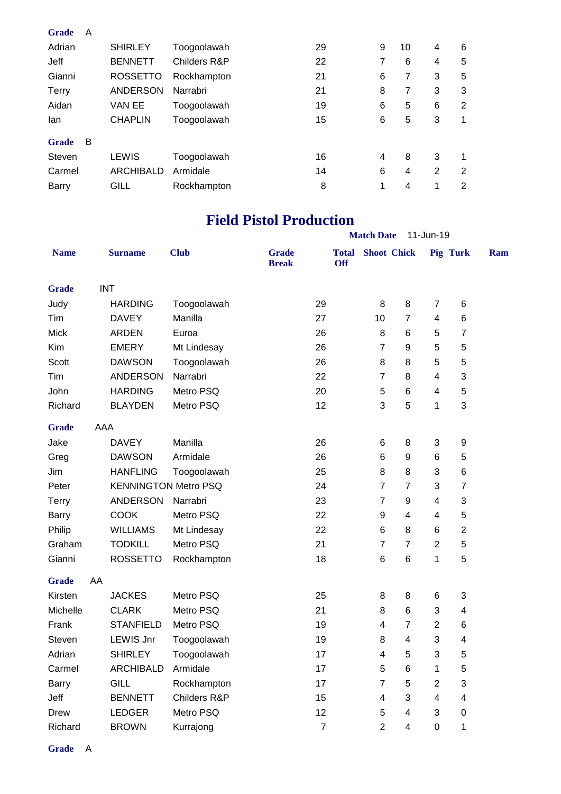| <b>Grade</b> | A |                  |              |    |   |    |                |                |
|--------------|---|------------------|--------------|----|---|----|----------------|----------------|
| Adrian       |   | <b>SHIRLEY</b>   | Toogoolawah  | 29 | 9 | 10 | 4              | 6              |
| Jeff         |   | <b>BENNETT</b>   | Childers R&P | 22 | 7 | 6  | 4              | 5              |
| Gianni       |   | <b>ROSSETTO</b>  | Rockhampton  | 21 | 6 | 7  | 3              | 5              |
| Terry        |   | <b>ANDERSON</b>  | Narrabri     | 21 | 8 | 7  | 3              | 3              |
| Aidan        |   | <b>VAN EE</b>    | Toogoolawah  | 19 | 6 | 5  | 6              | $\overline{2}$ |
| lan          |   | <b>CHAPLIN</b>   | Toogoolawah  | 15 | 6 | 5  | 3              | 1              |
| <b>Grade</b> | B |                  |              |    |   |    |                |                |
| Steven       |   | LEWIS            | Toogoolawah  | 16 | 4 | 8  | 3              | 1              |
| Carmel       |   | <b>ARCHIBALD</b> | Armidale     | 14 | 6 | 4  | $\overline{2}$ | 2              |
| Barry        |   | GILL             | Rockhampton  | 8  | 1 | 4  | 1              | $\overline{2}$ |

### **Field Pistol Production**

|              | <b>Match Date</b><br>11-Jun-19 |                             |              |                              |                |                            |                    |                 |                 |                         |     |
|--------------|--------------------------------|-----------------------------|--------------|------------------------------|----------------|----------------------------|--------------------|-----------------|-----------------|-------------------------|-----|
| <b>Name</b>  |                                | <b>Surname</b>              | <b>Club</b>  | <b>Grade</b><br><b>Break</b> |                | <b>Total</b><br><b>Off</b> | <b>Shoot Chick</b> |                 |                 | <b>Pig Turk</b>         | Ram |
| <b>Grade</b> |                                | <b>INT</b>                  |              |                              |                |                            |                    |                 |                 |                         |     |
| Judy         |                                | <b>HARDING</b>              | Toogoolawah  |                              | 29             |                            | 8                  | 8               | $\overline{7}$  | 6                       |     |
| Tim          |                                | <b>DAVEY</b>                | Manilla      |                              | 27             |                            | 10                 | $\overline{7}$  | $\overline{4}$  | 6                       |     |
| <b>Mick</b>  |                                | <b>ARDEN</b>                | Euroa        |                              | 26             |                            | 8                  | $\,6$           | 5               | $\overline{7}$          |     |
| Kim          |                                | <b>EMERY</b>                | Mt Lindesay  |                              | 26             |                            | $\overline{7}$     | 9               | 5               | 5                       |     |
| Scott        |                                | <b>DAWSON</b>               | Toogoolawah  |                              | 26             |                            | 8                  | 8               | 5               | 5                       |     |
| Tim          |                                | <b>ANDERSON</b>             | Narrabri     |                              | 22             |                            | $\overline{7}$     | 8               | $\overline{4}$  | 3                       |     |
| John         |                                | <b>HARDING</b>              | Metro PSQ    |                              | 20             |                            | 5                  | 6               | 4               | 5                       |     |
| Richard      |                                | <b>BLAYDEN</b>              | Metro PSQ    |                              | 12             |                            | 3                  | 5               | 1               | 3                       |     |
| <b>Grade</b> | AAA                            |                             |              |                              |                |                            |                    |                 |                 |                         |     |
| Jake         |                                | <b>DAVEY</b>                | Manilla      |                              | 26             |                            | 6                  | 8               | 3               | $\boldsymbol{9}$        |     |
| Greg         |                                | <b>DAWSON</b>               | Armidale     |                              | 26             |                            | 6                  | 9               | $6\phantom{1}6$ | 5                       |     |
| Jim          |                                | <b>HANFLING</b>             | Toogoolawah  |                              | 25             |                            | 8                  | 8               | 3               | 6                       |     |
| Peter        |                                | <b>KENNINGTON Metro PSQ</b> |              |                              | 24             |                            | $\overline{7}$     | $\overline{7}$  | 3               | $\overline{7}$          |     |
| <b>Terry</b> |                                | <b>ANDERSON</b>             | Narrabri     |                              | 23             |                            | $\overline{7}$     | 9               | $\overline{4}$  | 3                       |     |
| <b>Barry</b> |                                | <b>COOK</b>                 | Metro PSQ    |                              | 22             |                            | 9                  | 4               | 4               | 5                       |     |
| Philip       |                                | <b>WILLIAMS</b>             | Mt Lindesay  |                              | 22             |                            | 6                  | 8               | 6               | $\overline{2}$          |     |
| Graham       |                                | <b>TODKILL</b>              | Metro PSQ    |                              | 21             |                            | $\overline{7}$     | $\overline{7}$  | $\overline{2}$  | 5                       |     |
| Gianni       |                                | <b>ROSSETTO</b>             | Rockhampton  |                              | 18             |                            | $6\phantom{1}6$    | $6\phantom{1}6$ | 1               | 5                       |     |
| <b>Grade</b> | AA                             |                             |              |                              |                |                            |                    |                 |                 |                         |     |
| Kirsten      |                                | <b>JACKES</b>               | Metro PSQ    |                              | 25             |                            | 8                  | 8               | 6               | 3                       |     |
| Michelle     |                                | <b>CLARK</b>                | Metro PSQ    |                              | 21             |                            | 8                  | $\,6$           | 3               | 4                       |     |
| Frank        |                                | <b>STANFIELD</b>            | Metro PSQ    |                              | 19             |                            | 4                  | $\overline{7}$  | $\overline{2}$  | 6                       |     |
| Steven       |                                | <b>LEWIS Jnr</b>            | Toogoolawah  |                              | 19             |                            | 8                  | 4               | 3               | $\overline{\mathbf{4}}$ |     |
| Adrian       |                                | <b>SHIRLEY</b>              | Toogoolawah  |                              | 17             |                            | 4                  | 5               | 3               | 5                       |     |
| Carmel       |                                | <b>ARCHIBALD</b>            | Armidale     |                              | 17             |                            | 5                  | 6               | 1               | 5                       |     |
| Barry        |                                | <b>GILL</b>                 | Rockhampton  |                              | 17             |                            | $\overline{7}$     | 5               | $\overline{2}$  | 3                       |     |
| Jeff         |                                | <b>BENNETT</b>              | Childers R&P |                              | 15             |                            | 4                  | 3               | 4               | 4                       |     |
| Drew         |                                | <b>LEDGER</b>               | Metro PSQ    |                              | 12             |                            | 5                  | 4               | 3               | $\mathbf 0$             |     |
| Richard      |                                | <b>BROWN</b>                | Kurrajong    |                              | $\overline{7}$ |                            | $\overline{2}$     | 4               | 0               | 1                       |     |